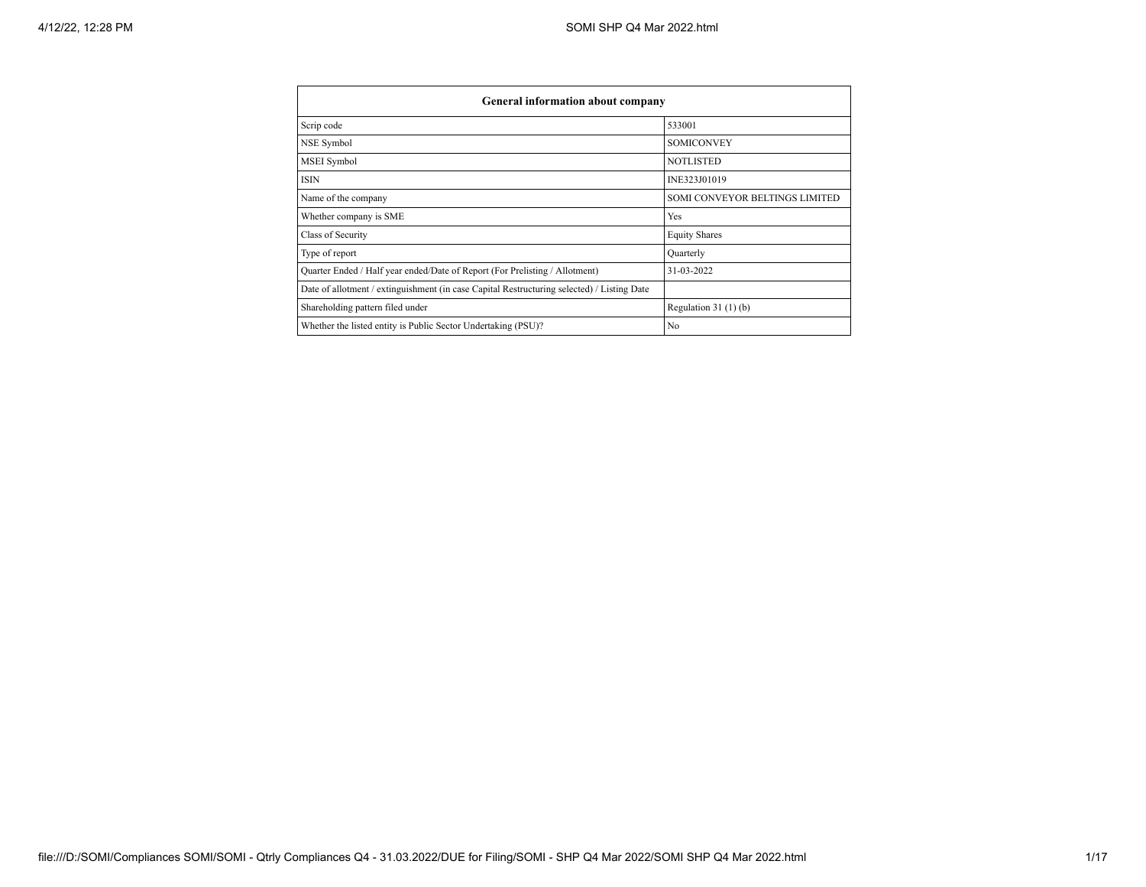| General information about company                                                          |                                |  |  |  |  |  |
|--------------------------------------------------------------------------------------------|--------------------------------|--|--|--|--|--|
| Scrip code                                                                                 | 533001                         |  |  |  |  |  |
| NSE Symbol                                                                                 | <b>SOMICONVEY</b>              |  |  |  |  |  |
| <b>MSEI</b> Symbol                                                                         | <b>NOTLISTED</b>               |  |  |  |  |  |
| <b>ISIN</b>                                                                                | INE323J01019                   |  |  |  |  |  |
| Name of the company                                                                        | SOMI CONVEYOR BELTINGS LIMITED |  |  |  |  |  |
| Whether company is SME                                                                     | Yes                            |  |  |  |  |  |
| Class of Security                                                                          | <b>Equity Shares</b>           |  |  |  |  |  |
| Type of report                                                                             | Ouarterly                      |  |  |  |  |  |
| Quarter Ended / Half year ended/Date of Report (For Prelisting / Allotment)                | 31-03-2022                     |  |  |  |  |  |
| Date of allotment / extinguishment (in case Capital Restructuring selected) / Listing Date |                                |  |  |  |  |  |
| Shareholding pattern filed under                                                           | Regulation $31(1)(b)$          |  |  |  |  |  |
| Whether the listed entity is Public Sector Undertaking (PSU)?                              | N <sub>0</sub>                 |  |  |  |  |  |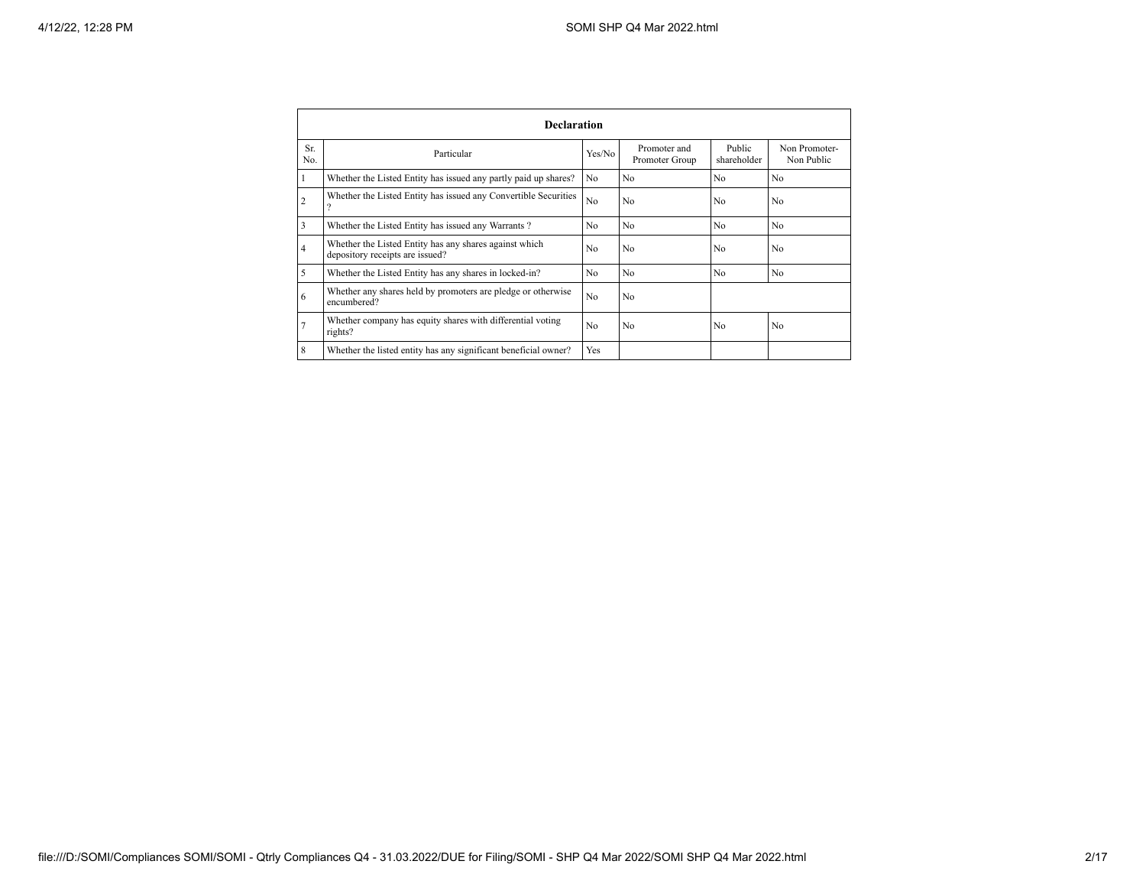|                | <b>Declaration</b>                                                                        |                |                                |                       |                             |  |  |  |  |
|----------------|-------------------------------------------------------------------------------------------|----------------|--------------------------------|-----------------------|-----------------------------|--|--|--|--|
| Sr.<br>No.     | Particular                                                                                | Yes/No         | Promoter and<br>Promoter Group | Public<br>shareholder | Non Promoter-<br>Non Public |  |  |  |  |
| 1              | Whether the Listed Entity has issued any partly paid up shares?                           | N <sub>0</sub> | N <sub>0</sub>                 | N <sub>0</sub>        | N <sub>0</sub>              |  |  |  |  |
| $\overline{2}$ | Whether the Listed Entity has issued any Convertible Securities<br>$\Omega$               | N <sub>0</sub> | N <sub>0</sub>                 | N <sub>0</sub>        | N <sub>0</sub>              |  |  |  |  |
| 3              | Whether the Listed Entity has issued any Warrants?                                        | N <sub>0</sub> | N <sub>0</sub>                 | N <sub>0</sub>        | N <sub>0</sub>              |  |  |  |  |
| $\overline{4}$ | Whether the Listed Entity has any shares against which<br>depository receipts are issued? | N <sub>0</sub> | N <sub>0</sub>                 | N <sub>0</sub>        | N <sub>0</sub>              |  |  |  |  |
| 5              | Whether the Listed Entity has any shares in locked-in?                                    | N <sub>0</sub> | N <sub>0</sub>                 | N <sub>0</sub>        | N <sub>0</sub>              |  |  |  |  |
| 6              | Whether any shares held by promoters are pledge or otherwise<br>encumbered?               | N <sub>o</sub> | N <sub>0</sub>                 |                       |                             |  |  |  |  |
| 7              | Whether company has equity shares with differential voting<br>rights?                     | N <sub>0</sub> | N <sub>0</sub>                 | N <sub>0</sub>        | N <sub>0</sub>              |  |  |  |  |
| 8              | Whether the listed entity has any significant beneficial owner?                           | Yes            |                                |                       |                             |  |  |  |  |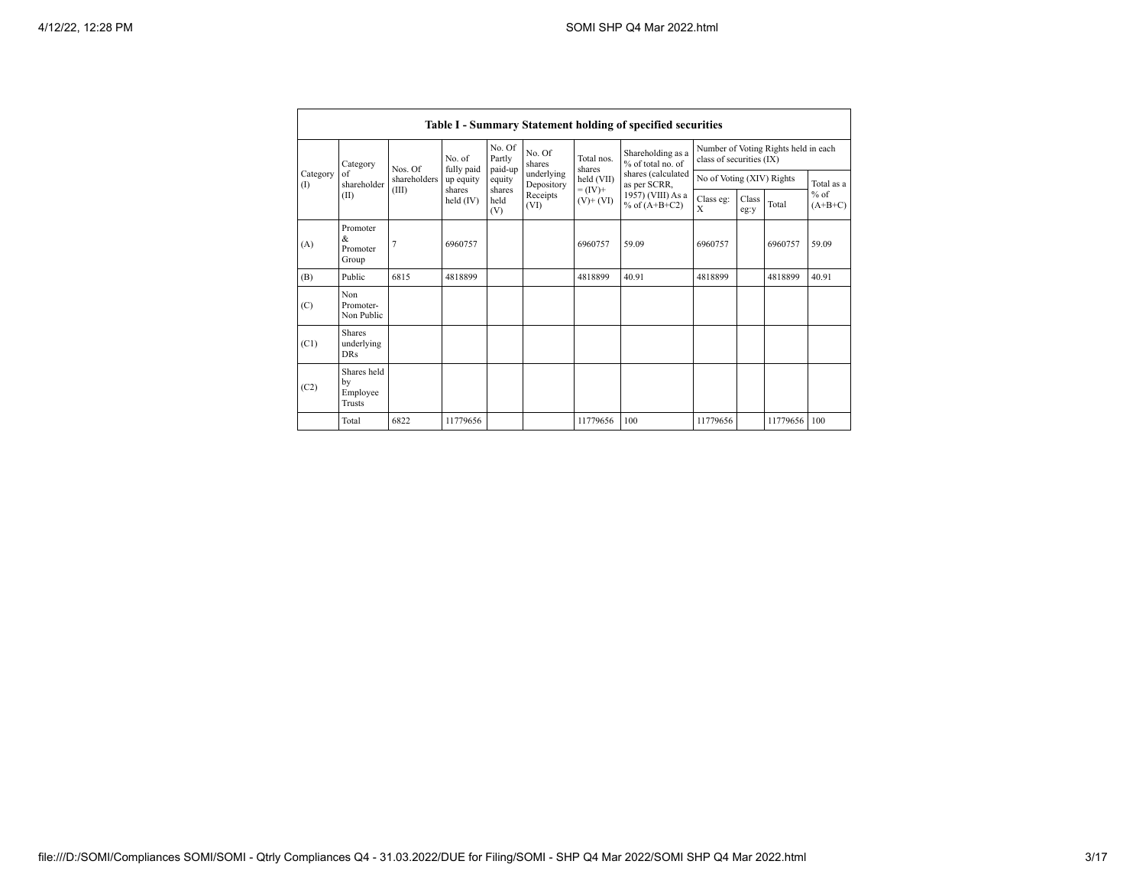|                   | Table I - Summary Statement holding of specified securities |              |                                                                  |                                      |                          |                          |                                                                             |                                                                  |  |              |            |  |
|-------------------|-------------------------------------------------------------|--------------|------------------------------------------------------------------|--------------------------------------|--------------------------|--------------------------|-----------------------------------------------------------------------------|------------------------------------------------------------------|--|--------------|------------|--|
|                   | Category                                                    | Nos Of       | No of<br>fully paid                                              | No Of<br>Partly<br>paid-up           | No. Of<br>shares         | Total nos<br>shares      | Shareholding as a<br>% of total no of<br>shares (calculated<br>as per SCRR, | Number of Voting Rights held in each<br>class of securities (IX) |  |              |            |  |
| Category<br>$($ I | of<br>shareholder                                           | shareholders | up equity<br>shares                                              | equity<br>shares                     | underlying<br>Depository | held (VII)<br>$= (IV) +$ |                                                                             | No of Voting (XIV) Rights                                        |  |              | Total as a |  |
|                   | (II)                                                        | (III)        | Receipts<br>held $(IV)$<br>held<br>$(V)$ + $(VI)$<br>(VI)<br>(V) | 1957) (VIII) As a<br>% of $(A+B+C2)$ | Class eg:<br>X           | Class<br>eg:y            | Total                                                                       | $%$ of<br>$(A+B+C)$                                              |  |              |            |  |
| (A)               | Promoter<br>&<br>Promoter<br>Group                          |              | 6960757                                                          |                                      |                          | 6960757                  | 59.09                                                                       | 6960757                                                          |  | 6960757      | 59.09      |  |
| (B)               | Public                                                      | 6815         | 4818899                                                          |                                      |                          | 4818899                  | 40.91                                                                       | 4818899                                                          |  | 4818899      | 40 91      |  |
| (C)               | Non<br>Promoter-<br>Non Public                              |              |                                                                  |                                      |                          |                          |                                                                             |                                                                  |  |              |            |  |
| (C1)              | <b>Shares</b><br>underlying<br><b>DRs</b>                   |              |                                                                  |                                      |                          |                          |                                                                             |                                                                  |  |              |            |  |
| (C2)              | Shares held<br>by<br>Employee<br>Trusts                     |              |                                                                  |                                      |                          |                          |                                                                             |                                                                  |  |              |            |  |
|                   | Total                                                       | 6822         | 11779656                                                         |                                      |                          | 11779656                 | 100                                                                         | 11779656                                                         |  | 11779656 100 |            |  |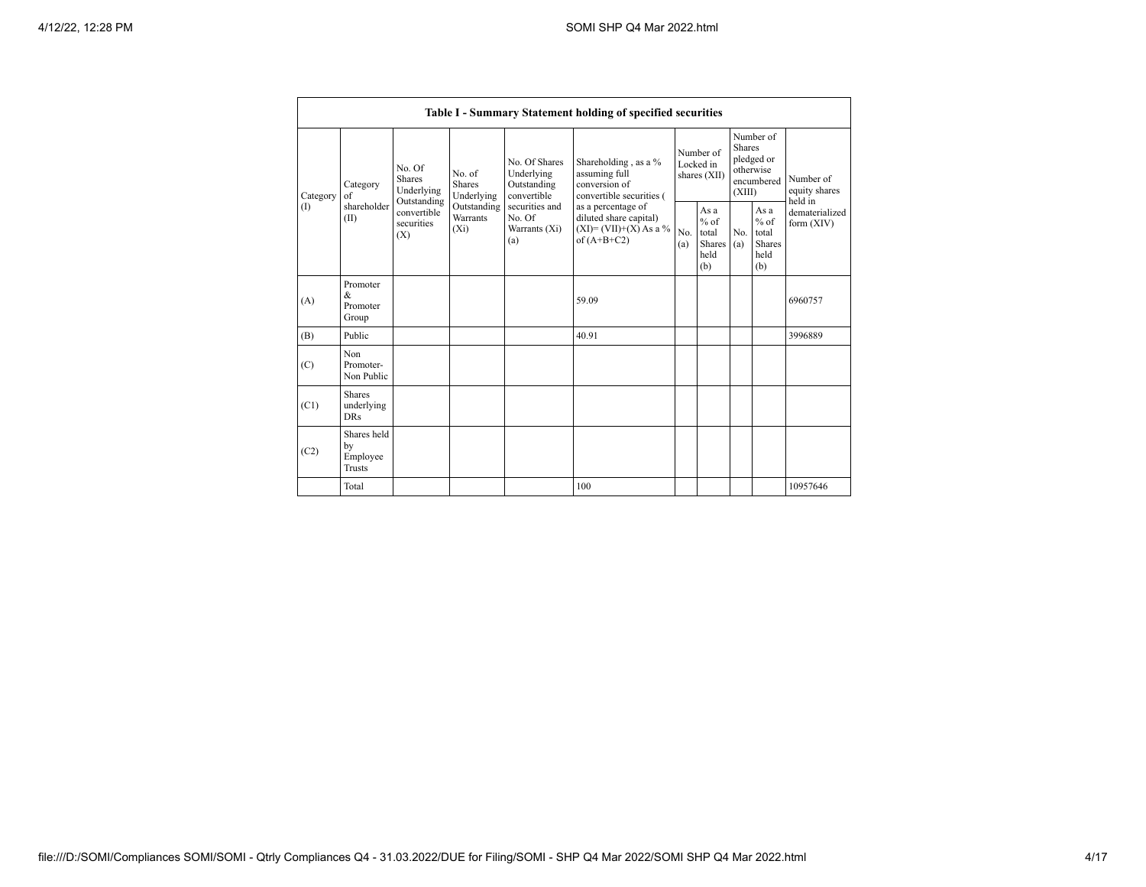|          | Table I - Summary Statement holding of specified securities |                                                 |                                       |                                                                                                                                                                                                                                                                                                 |                       |                                                  |            |                                                                               |                              |                                       |
|----------|-------------------------------------------------------------|-------------------------------------------------|---------------------------------------|-------------------------------------------------------------------------------------------------------------------------------------------------------------------------------------------------------------------------------------------------------------------------------------------------|-----------------------|--------------------------------------------------|------------|-------------------------------------------------------------------------------|------------------------------|---------------------------------------|
| Category | Category<br>of                                              | No. Of<br><b>Shares</b><br>Underlying           | No. of<br><b>Shares</b><br>Underlying | No. Of Shares<br>Shareholding, as a %<br>Underlying<br>assuming full<br>conversion of<br>Outstanding<br>convertible<br>convertible securities (<br>securities and<br>as a percentage of<br>No. Of<br>diluted share capital)<br>$(XI)=(VII)+(X) As a %$<br>Warrants (Xi)<br>of $(A+B+C2)$<br>(a) |                       | Number of<br>Locked in<br>shares (XII)           |            | Number of<br><b>Shares</b><br>pledged or<br>otherwise<br>encumbered<br>(XIII) |                              | Number of<br>equity shares<br>held in |
| (1)      | shareholder<br>(II)                                         | Outstanding<br>convertible<br>securities<br>(X) | Outstanding<br>Warrants<br>$(X_i)$    |                                                                                                                                                                                                                                                                                                 | N <sub>0</sub><br>(a) | As a<br>$%$ of<br>total<br>Shares<br>held<br>(b) | No.<br>(a) | As a<br>$%$ of<br>total<br><b>Shares</b><br>held<br>(b)                       | dematerialized<br>form (XIV) |                                       |
| (A)      | Promoter<br>&<br>Promoter<br>Group                          |                                                 |                                       |                                                                                                                                                                                                                                                                                                 | 59.09                 |                                                  |            |                                                                               |                              | 6960757                               |
| (B)      | Public                                                      |                                                 |                                       |                                                                                                                                                                                                                                                                                                 | 40.91                 |                                                  |            |                                                                               |                              | 3996889                               |
| (C)      | Non<br>Promoter-<br>Non Public                              |                                                 |                                       |                                                                                                                                                                                                                                                                                                 |                       |                                                  |            |                                                                               |                              |                                       |
| (C1)     | <b>Shares</b><br>underlying<br><b>DRs</b>                   |                                                 |                                       |                                                                                                                                                                                                                                                                                                 |                       |                                                  |            |                                                                               |                              |                                       |
| (C2)     | Shares held<br>by<br>Employee<br>Trusts                     |                                                 |                                       |                                                                                                                                                                                                                                                                                                 |                       |                                                  |            |                                                                               |                              |                                       |
|          | Total                                                       |                                                 |                                       |                                                                                                                                                                                                                                                                                                 | 100                   |                                                  |            |                                                                               |                              | 10957646                              |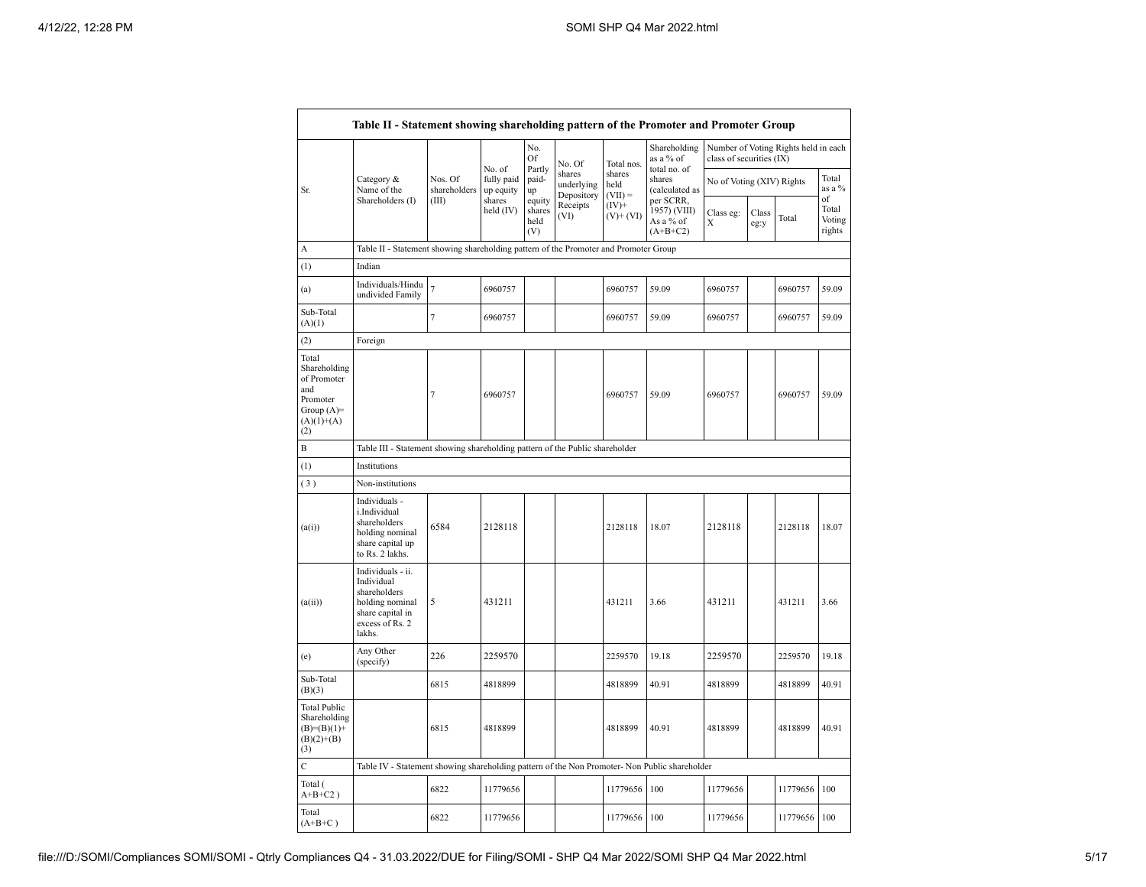|                                                                                                |                                                                                                                     |                         |                                   | No.<br>Of                       | No. Of                             | Total nos.                  | Shareholding<br>as a % of                            | Number of Voting Rights held in each<br>class of securities (IX) |               |          |                           |
|------------------------------------------------------------------------------------------------|---------------------------------------------------------------------------------------------------------------------|-------------------------|-----------------------------------|---------------------------------|------------------------------------|-----------------------------|------------------------------------------------------|------------------------------------------------------------------|---------------|----------|---------------------------|
| Sr.                                                                                            | Category &<br>Name of the                                                                                           | Nos. Of<br>shareholders | No. of<br>fully paid<br>up equity | Partly<br>paid-<br>up           | shares<br>underlying<br>Depository | shares<br>held<br>$(VII) =$ | total no. of<br>shares<br>(calculated as             | No of Voting (XIV) Rights                                        |               |          | Total<br>as a %<br>of     |
|                                                                                                | Shareholders (I)                                                                                                    | (III)                   | shares<br>held $(IV)$             | equity<br>shares<br>held<br>(V) | Receipts<br>(VI)                   | $(IV)$ +<br>$(V)$ + $(VI)$  | per SCRR,<br>1957) (VIII)<br>As a % of<br>$(A+B+C2)$ | Class eg:<br>X                                                   | Class<br>eg:y | Total    | Total<br>Voting<br>rights |
| А                                                                                              | Table II - Statement showing shareholding pattern of the Promoter and Promoter Group                                |                         |                                   |                                 |                                    |                             |                                                      |                                                                  |               |          |                           |
| (1)                                                                                            | Indian                                                                                                              |                         |                                   |                                 |                                    |                             |                                                      |                                                                  |               |          |                           |
| (a)                                                                                            | Individuals/Hindu<br>undivided Family                                                                               | $\tau$                  | 6960757                           |                                 |                                    | 6960757                     | 59.09                                                | 6960757                                                          |               | 6960757  | 59.09                     |
| Sub-Total<br>(A)(1)                                                                            |                                                                                                                     | $\tau$                  | 6960757                           |                                 |                                    | 6960757                     | 59.09                                                | 6960757                                                          |               | 6960757  | 59.09                     |
| (2)                                                                                            | Foreign                                                                                                             |                         |                                   |                                 |                                    |                             |                                                      |                                                                  |               |          |                           |
| Total<br>Shareholding<br>of Promoter<br>and<br>Promoter<br>Group $(A)=$<br>$(A)(1)+(A)$<br>(2) |                                                                                                                     | $\tau$                  | 6960757                           |                                 |                                    | 6960757                     | 59.09                                                | 6960757                                                          |               | 6960757  | 59.09                     |
| B                                                                                              | Table III - Statement showing shareholding pattern of the Public shareholder                                        |                         |                                   |                                 |                                    |                             |                                                      |                                                                  |               |          |                           |
| (1)                                                                                            | Institutions                                                                                                        |                         |                                   |                                 |                                    |                             |                                                      |                                                                  |               |          |                           |
| (3)                                                                                            | Non-institutions                                                                                                    |                         |                                   |                                 |                                    |                             |                                                      |                                                                  |               |          |                           |
| (a(i))                                                                                         | Individuals -<br>i.Individual<br>shareholders<br>holding nominal<br>share capital up<br>to Rs. 2 lakhs.             | 6584                    | 2128118                           |                                 |                                    | 2128118                     | 18.07                                                | 2128118                                                          |               | 2128118  | 18.07                     |
| (a(ii))                                                                                        | Individuals - ii.<br>Individual<br>shareholders<br>holding nominal<br>share capital in<br>excess of Rs. 2<br>lakhs. | 5                       | 431211                            |                                 |                                    | 431211                      | 3.66                                                 | 431211                                                           |               | 431211   | 3.66                      |
| (e)                                                                                            | Any Other<br>(specify)                                                                                              | 226                     | 2259570                           |                                 |                                    | 2259570                     | 19.18                                                | 2259570                                                          |               | 2259570  | 19.18                     |
| Sub-Total<br>(B)(3)                                                                            |                                                                                                                     | 6815                    | 4818899                           |                                 |                                    | 4818899                     | 40.91                                                | 4818899                                                          |               | 4818899  | 40.91                     |
| <b>Total Public</b><br>Shareholding<br>$(B)=(B)(1)+$<br>$(B)(2)+(B)$<br>(3)                    |                                                                                                                     | 6815                    | 4818899                           |                                 |                                    | 4818899                     | 40.91                                                | 4818899                                                          |               | 4818899  | 40.91                     |
| $\mathbf C$                                                                                    | Table IV - Statement showing shareholding pattern of the Non Promoter- Non Public shareholder                       |                         |                                   |                                 |                                    |                             |                                                      |                                                                  |               |          |                           |
| Total (<br>$A+B+C2$ )                                                                          |                                                                                                                     | 6822                    | 11779656                          |                                 |                                    | 11779656                    | 100                                                  | 11779656                                                         |               | 11779656 | 100                       |
| Total<br>$(A+B+C)$                                                                             |                                                                                                                     | 6822                    | 11779656                          |                                 |                                    | 11779656                    | 100                                                  | 11779656                                                         |               | 11779656 | 100                       |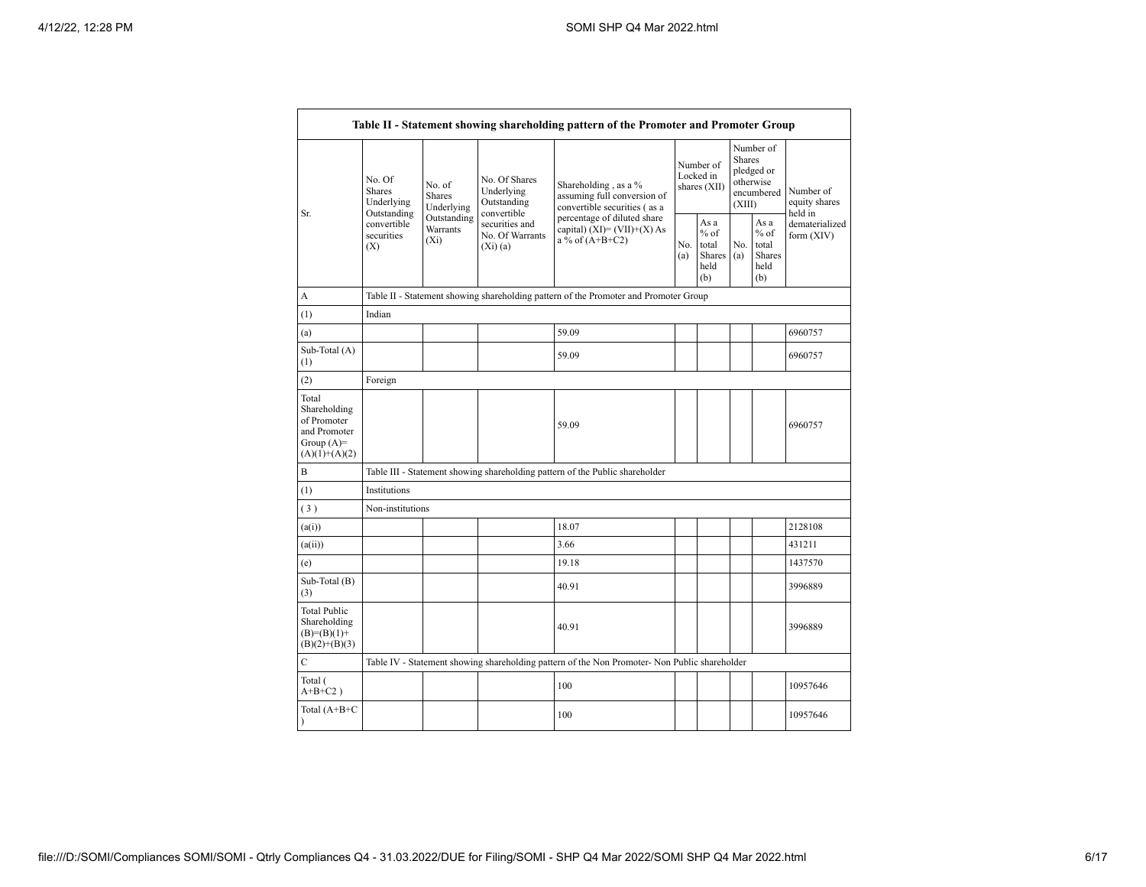|                                                                                         |                                                 |                                       |                                                             | Table II - Statement showing shareholding pattern of the Promoter and Promoter Group          |                                        |                                                  |                                                                               |                                                  |                                       |
|-----------------------------------------------------------------------------------------|-------------------------------------------------|---------------------------------------|-------------------------------------------------------------|-----------------------------------------------------------------------------------------------|----------------------------------------|--------------------------------------------------|-------------------------------------------------------------------------------|--------------------------------------------------|---------------------------------------|
| Sr.                                                                                     | No. Of<br><b>Shares</b><br>Underlying           | No. of<br><b>Shares</b><br>Underlying | No. Of Shares<br>Underlying<br>Outstanding                  | Shareholding, as a %<br>assuming full conversion of<br>convertible securities (as a           | Number of<br>Locked in<br>shares (XII) |                                                  | Number of<br><b>Shares</b><br>pledged or<br>otherwise<br>encumbered<br>(XIII) |                                                  | Number of<br>equity shares<br>held in |
|                                                                                         | Outstanding<br>convertible<br>securities<br>(X) | Outstanding<br>Warrants<br>$(X_i)$    | convertible<br>securities and<br>No. Of Warrants<br>(Xi)(a) | percentage of diluted share<br>capital) $(XI) = (VII)+(X) As$<br>a % of $(A+B+C2)$            |                                        | As a<br>$%$ of<br>total<br>Shares<br>held<br>(b) | No.<br>(a)                                                                    | As a<br>$%$ of<br>total<br>Shares<br>held<br>(b) | dematerialized<br>form $(XIV)$        |
| A                                                                                       |                                                 |                                       |                                                             | Table II - Statement showing shareholding pattern of the Promoter and Promoter Group          |                                        |                                                  |                                                                               |                                                  |                                       |
| (1)                                                                                     | Indian                                          |                                       |                                                             |                                                                                               |                                        |                                                  |                                                                               |                                                  |                                       |
| (a)                                                                                     |                                                 |                                       |                                                             | 59.09                                                                                         |                                        |                                                  |                                                                               |                                                  | 6960757                               |
| Sub-Total (A)<br>(1)                                                                    |                                                 |                                       |                                                             | 59.09                                                                                         |                                        |                                                  |                                                                               |                                                  | 6960757                               |
| (2)                                                                                     | Foreign                                         |                                       |                                                             |                                                                                               |                                        |                                                  |                                                                               |                                                  |                                       |
| Total<br>Shareholding<br>of Promoter<br>and Promoter<br>Group $(A)=$<br>$(A)(1)+(A)(2)$ |                                                 |                                       |                                                             | 59.09                                                                                         |                                        |                                                  |                                                                               |                                                  | 6960757                               |
| B                                                                                       |                                                 |                                       |                                                             | Table III - Statement showing shareholding pattern of the Public shareholder                  |                                        |                                                  |                                                                               |                                                  |                                       |
| (1)                                                                                     | Institutions                                    |                                       |                                                             |                                                                                               |                                        |                                                  |                                                                               |                                                  |                                       |
| (3)                                                                                     | Non-institutions                                |                                       |                                                             |                                                                                               |                                        |                                                  |                                                                               |                                                  |                                       |
| (a(i))                                                                                  |                                                 |                                       |                                                             | 18.07                                                                                         |                                        |                                                  |                                                                               |                                                  | 2128108                               |
| (a(ii))                                                                                 |                                                 |                                       |                                                             | 3.66                                                                                          |                                        |                                                  |                                                                               |                                                  | 431211                                |
| (e)                                                                                     |                                                 |                                       |                                                             | 19.18                                                                                         |                                        |                                                  |                                                                               |                                                  | 1437570                               |
| Sub-Total (B)<br>(3)                                                                    |                                                 |                                       |                                                             | 40.91                                                                                         |                                        |                                                  |                                                                               |                                                  | 3996889                               |
| <b>Total Public</b><br>Shareholding<br>$(B)=(B)(1)+$<br>$(B)(2)+(B)(3)$                 |                                                 |                                       |                                                             | 40.91                                                                                         |                                        |                                                  |                                                                               |                                                  | 3996889                               |
| $\mathcal{C}$                                                                           |                                                 |                                       |                                                             | Table IV - Statement showing shareholding pattern of the Non Promoter- Non Public shareholder |                                        |                                                  |                                                                               |                                                  |                                       |
| Total (<br>$A+B+C2$ )                                                                   |                                                 |                                       |                                                             | 100                                                                                           |                                        |                                                  |                                                                               |                                                  | 10957646                              |
| Total (A+B+C                                                                            |                                                 |                                       |                                                             | 100                                                                                           |                                        |                                                  |                                                                               |                                                  | 10957646                              |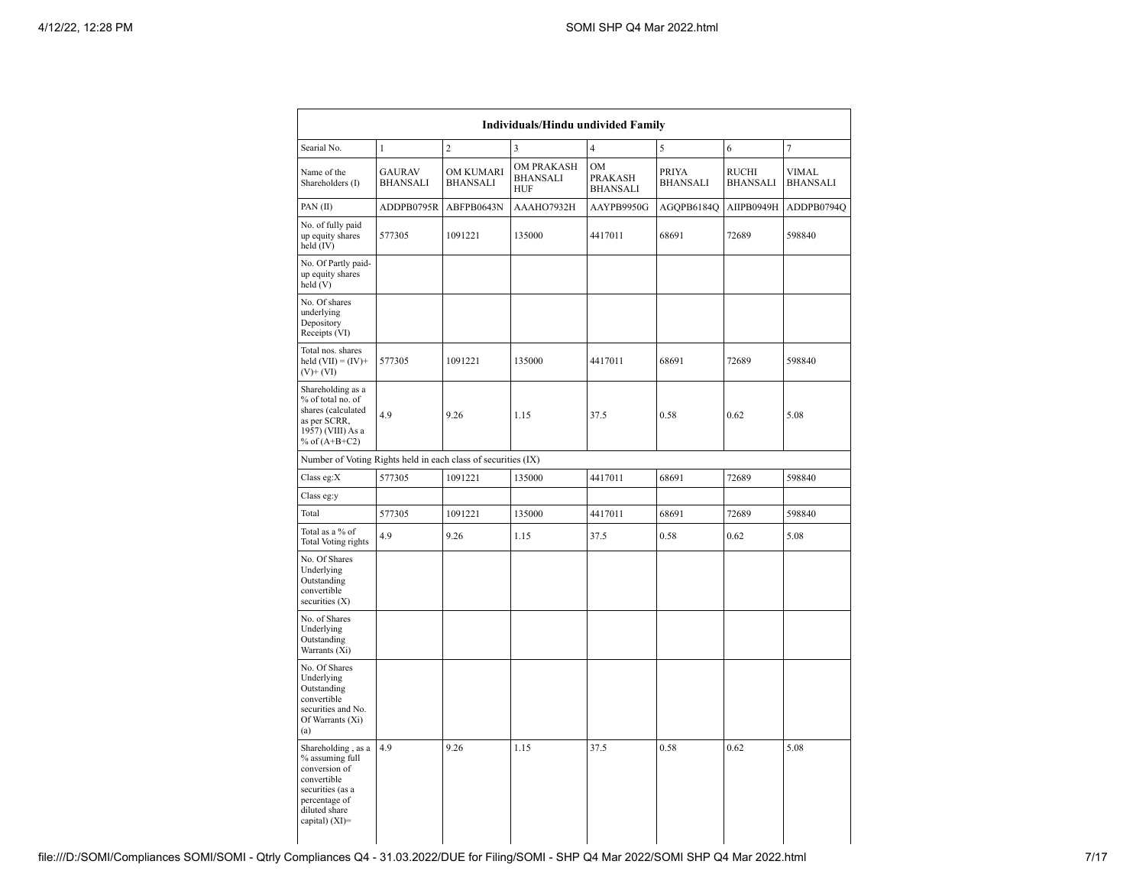| Individuals/Hindu undivided Family                                                                                                            |                                  |                                     |                                             |                                         |                                 |                                 |                          |  |  |
|-----------------------------------------------------------------------------------------------------------------------------------------------|----------------------------------|-------------------------------------|---------------------------------------------|-----------------------------------------|---------------------------------|---------------------------------|--------------------------|--|--|
| Searial No.                                                                                                                                   | $\mathbf{1}$                     | $\overline{c}$                      | 3                                           | $\overline{4}$                          | 5                               | 6                               | 7                        |  |  |
| Name of the<br>Shareholders (I)                                                                                                               | <b>GAURAV</b><br><b>BHANSALI</b> | <b>OM KUMARI</b><br><b>BHANSALI</b> | OM PRAKASH<br><b>BHANSALI</b><br><b>HUF</b> | <b>OM</b><br>PRAKASH<br><b>BHANSALI</b> | <b>PRIYA</b><br><b>BHANSALI</b> | <b>RUCHI</b><br><b>BHANSALI</b> | VIMAL<br><b>BHANSALI</b> |  |  |
| PAN(II)                                                                                                                                       | ADDPB0795R                       | ABFPB0643N                          | AAAHO7932H                                  | AAYPB9950G                              | AGQPB6184Q                      | AIIPB0949H                      | ADDPB0794Q               |  |  |
| No. of fully paid<br>up equity shares<br>held (IV)                                                                                            | 577305                           | 1091221                             | 135000                                      | 4417011                                 | 68691                           | 72689                           | 598840                   |  |  |
| No. Of Partly paid-<br>up equity shares<br>held (V)                                                                                           |                                  |                                     |                                             |                                         |                                 |                                 |                          |  |  |
| No. Of shares<br>underlying<br>Depository<br>Receipts (VI)                                                                                    |                                  |                                     |                                             |                                         |                                 |                                 |                          |  |  |
| Total nos. shares<br>held $(VII) = (IV) +$<br>$(V)$ + $(VI)$                                                                                  | 577305                           | 1091221                             | 135000                                      | 4417011                                 | 68691                           | 72689                           | 598840                   |  |  |
| Shareholding as a<br>% of total no. of<br>shares (calculated<br>as per SCRR,<br>1957) (VIII) As a<br>% of $(A+B+C2)$                          | 4.9                              | 9.26                                | 1.15                                        | 37.5                                    | 0.58                            | 0.62                            | 5.08                     |  |  |
| Number of Voting Rights held in each class of securities (IX)                                                                                 |                                  |                                     |                                             |                                         |                                 |                                 |                          |  |  |
| Class eg: $X$                                                                                                                                 | 577305                           | 1091221                             | 135000                                      | 4417011                                 | 68691                           | 72689                           | 598840                   |  |  |
| Class eg:y                                                                                                                                    |                                  |                                     |                                             |                                         |                                 |                                 |                          |  |  |
| Total                                                                                                                                         | 577305                           | 1091221                             | 135000                                      | 4417011                                 | 68691                           | 72689                           | 598840                   |  |  |
| Total as a % of<br><b>Total Voting rights</b>                                                                                                 | 4.9                              | 9.26                                | 1.15                                        | 37.5                                    | 0.58                            | 0.62                            | 5.08                     |  |  |
| No. Of Shares<br>Underlying<br>Outstanding<br>convertible<br>securities $(X)$                                                                 |                                  |                                     |                                             |                                         |                                 |                                 |                          |  |  |
| No. of Shares<br>Underlying<br>Outstanding<br>Warrants (Xi)                                                                                   |                                  |                                     |                                             |                                         |                                 |                                 |                          |  |  |
| No. Of Shares<br>Underlying<br>Outstanding<br>convertible<br>securities and No.<br>Of Warrants (Xi)<br>(a)                                    |                                  |                                     |                                             |                                         |                                 |                                 |                          |  |  |
| Shareholding, as a<br>% assuming full<br>conversion of<br>convertible<br>securities (as a<br>percentage of<br>diluted share<br>capital) (XI)= | 4.9                              | 9.26                                | 1.15                                        | 37.5                                    | 0.58                            | 0.62                            | 5.08                     |  |  |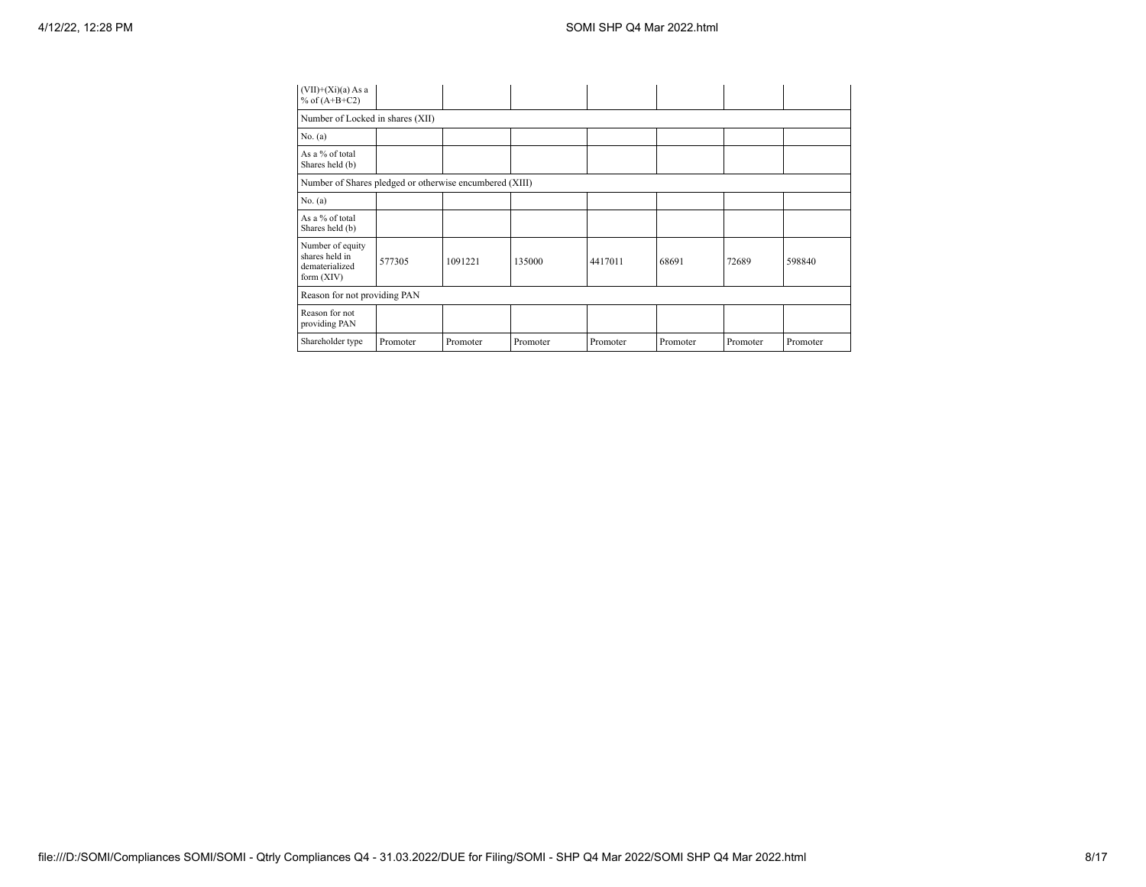| $(VII)+(Xi)(a) As a$<br>% of $(A+B+C2)$                              |                                  |          |          |          |          |          |          |  |  |  |  |
|----------------------------------------------------------------------|----------------------------------|----------|----------|----------|----------|----------|----------|--|--|--|--|
|                                                                      | Number of Locked in shares (XII) |          |          |          |          |          |          |  |  |  |  |
| No. $(a)$                                                            |                                  |          |          |          |          |          |          |  |  |  |  |
| As a % of total<br>Shares held (b)                                   |                                  |          |          |          |          |          |          |  |  |  |  |
| Number of Shares pledged or otherwise encumbered (XIII)              |                                  |          |          |          |          |          |          |  |  |  |  |
| No. $(a)$                                                            |                                  |          |          |          |          |          |          |  |  |  |  |
| As a % of total<br>Shares held (b)                                   |                                  |          |          |          |          |          |          |  |  |  |  |
| Number of equity<br>shares held in<br>dematerialized<br>form $(XIV)$ | 577305                           | 1091221  | 135000   | 4417011  | 68691    | 72689    | 598840   |  |  |  |  |
| Reason for not providing PAN                                         |                                  |          |          |          |          |          |          |  |  |  |  |
| Reason for not<br>providing PAN                                      |                                  |          |          |          |          |          |          |  |  |  |  |
| Shareholder type                                                     | Promoter                         | Promoter | Promoter | Promoter | Promoter | Promoter | Promoter |  |  |  |  |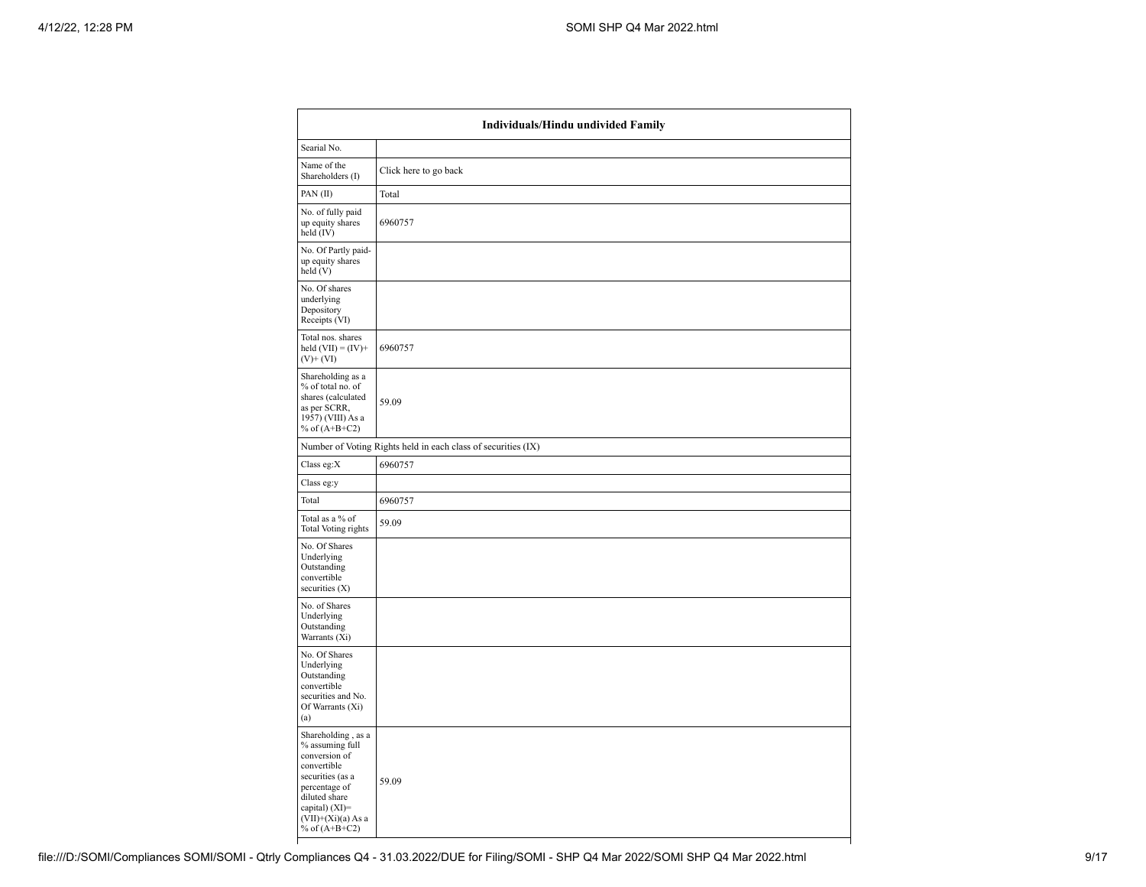|                                                                                                                                                                                          | Individuals/Hindu undivided Family                            |  |  |  |  |  |  |  |
|------------------------------------------------------------------------------------------------------------------------------------------------------------------------------------------|---------------------------------------------------------------|--|--|--|--|--|--|--|
| Searial No.                                                                                                                                                                              |                                                               |  |  |  |  |  |  |  |
| Name of the<br>Shareholders (I)                                                                                                                                                          | Click here to go back                                         |  |  |  |  |  |  |  |
| PAN(II)                                                                                                                                                                                  | Total                                                         |  |  |  |  |  |  |  |
| No. of fully paid<br>up equity shares<br>held (IV)                                                                                                                                       | 6960757                                                       |  |  |  |  |  |  |  |
| No. Of Partly paid-<br>up equity shares<br>held (V)                                                                                                                                      |                                                               |  |  |  |  |  |  |  |
| No. Of shares<br>underlying<br>Depository<br>Receipts (VI)                                                                                                                               |                                                               |  |  |  |  |  |  |  |
| Total nos. shares<br>held $(VII) = (IV) +$<br>$(V)$ + $(VI)$                                                                                                                             | 6960757                                                       |  |  |  |  |  |  |  |
| Shareholding as a<br>% of total no. of<br>shares (calculated<br>as per SCRR,<br>1957) (VIII) As a<br>% of $(A+B+C2)$                                                                     | 59.09                                                         |  |  |  |  |  |  |  |
|                                                                                                                                                                                          | Number of Voting Rights held in each class of securities (IX) |  |  |  |  |  |  |  |
| Class eg:X                                                                                                                                                                               | 6960757                                                       |  |  |  |  |  |  |  |
| Class eg:y                                                                                                                                                                               |                                                               |  |  |  |  |  |  |  |
| Total                                                                                                                                                                                    | 6960757                                                       |  |  |  |  |  |  |  |
| Total as a % of<br><b>Total Voting rights</b>                                                                                                                                            | 59.09                                                         |  |  |  |  |  |  |  |
| No. Of Shares<br>Underlying<br>Outstanding<br>convertible<br>securities $(X)$                                                                                                            |                                                               |  |  |  |  |  |  |  |
| No. of Shares<br>Underlying<br>Outstanding<br>Warrants (Xi)                                                                                                                              |                                                               |  |  |  |  |  |  |  |
| No. Of Shares<br>Underlying<br>Outstanding<br>convertible<br>securities and No.<br>Of Warrants (Xi)<br>(a)                                                                               |                                                               |  |  |  |  |  |  |  |
| Shareholding, as a<br>% assuming full<br>conversion of<br>convertible<br>securities (as a<br>percentage of<br>diluted share<br>capital) (XI)=<br>$(VII)+(Xi)(a) As a$<br>% of $(A+B+C2)$ | 59.09                                                         |  |  |  |  |  |  |  |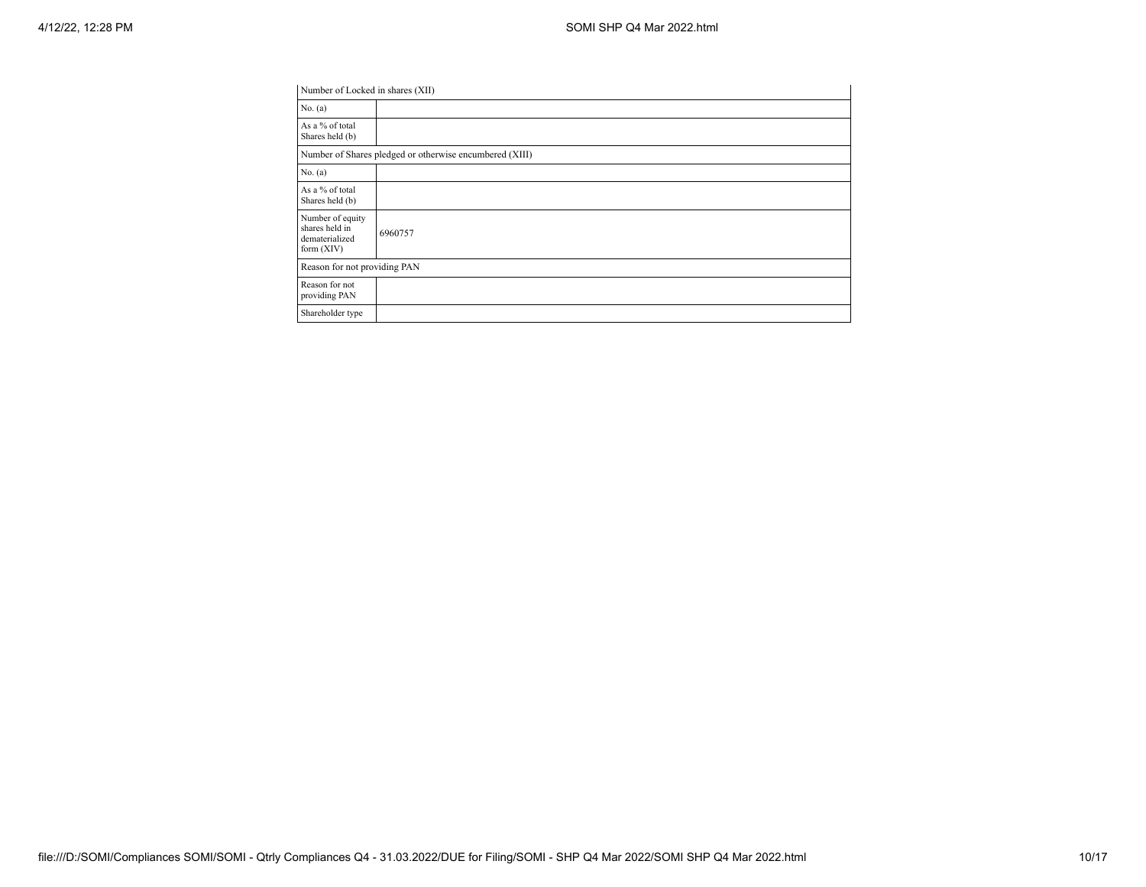| Number of Locked in shares (XII)                                     |                                                         |
|----------------------------------------------------------------------|---------------------------------------------------------|
| No. $(a)$                                                            |                                                         |
| As a % of total<br>Shares held (b)                                   |                                                         |
|                                                                      | Number of Shares pledged or otherwise encumbered (XIII) |
| No. $(a)$                                                            |                                                         |
| As a % of total<br>Shares held (b)                                   |                                                         |
| Number of equity<br>shares held in<br>dematerialized<br>form $(XIV)$ | 6960757                                                 |
| Reason for not providing PAN                                         |                                                         |
| Reason for not<br>providing PAN                                      |                                                         |
| Shareholder type                                                     |                                                         |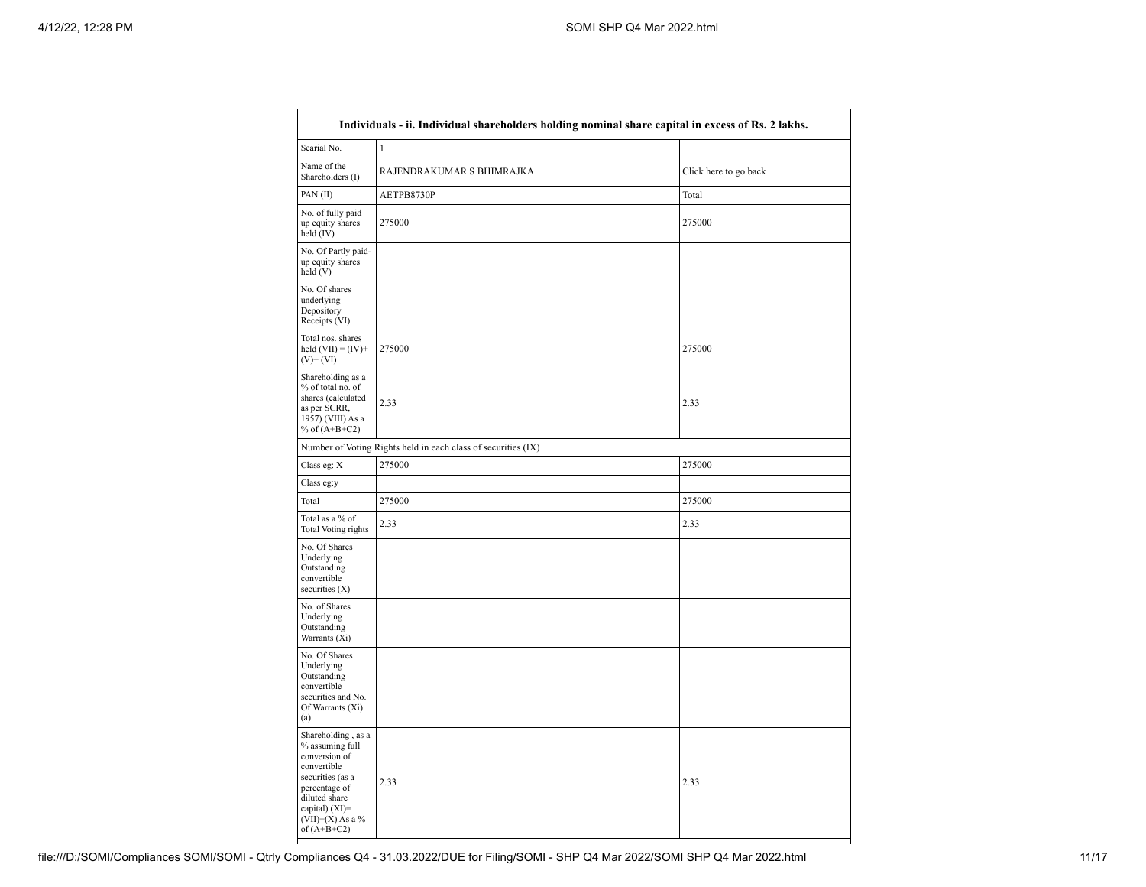| Individuals - ii. Individual shareholders holding nominal share capital in excess of Rs. 2 lakhs.                                                                                    |                                                               |                       |  |  |  |  |  |
|--------------------------------------------------------------------------------------------------------------------------------------------------------------------------------------|---------------------------------------------------------------|-----------------------|--|--|--|--|--|
| Searial No.                                                                                                                                                                          | $\mathbf{1}$                                                  |                       |  |  |  |  |  |
| Name of the<br>Shareholders (I)                                                                                                                                                      | RAJENDRAKUMAR S BHIMRAJKA                                     | Click here to go back |  |  |  |  |  |
| PAN(II)                                                                                                                                                                              | AETPB8730P                                                    | Total                 |  |  |  |  |  |
| No. of fully paid<br>up equity shares<br>held $(IV)$                                                                                                                                 | 275000                                                        | 275000                |  |  |  |  |  |
| No. Of Partly paid-<br>up equity shares<br>held(V)                                                                                                                                   |                                                               |                       |  |  |  |  |  |
| No. Of shares<br>underlying<br>Depository<br>Receipts (VI)                                                                                                                           |                                                               |                       |  |  |  |  |  |
| Total nos. shares<br>held $(VII) = (IV) +$<br>$(V)+(VI)$                                                                                                                             | 275000                                                        | 275000                |  |  |  |  |  |
| Shareholding as a<br>% of total no. of<br>shares (calculated<br>as per SCRR,<br>1957) (VIII) As a<br>% of $(A+B+C2)$                                                                 | 2.33                                                          | 2.33                  |  |  |  |  |  |
|                                                                                                                                                                                      | Number of Voting Rights held in each class of securities (IX) |                       |  |  |  |  |  |
| Class eg: X                                                                                                                                                                          | 275000                                                        | 275000                |  |  |  |  |  |
| Class eg:y                                                                                                                                                                           |                                                               |                       |  |  |  |  |  |
| Total                                                                                                                                                                                | 275000                                                        | 275000                |  |  |  |  |  |
| Total as a % of<br><b>Total Voting rights</b>                                                                                                                                        | 2.33                                                          | 2.33                  |  |  |  |  |  |
| No. Of Shares<br>Underlying<br>Outstanding<br>convertible<br>securities $(X)$                                                                                                        |                                                               |                       |  |  |  |  |  |
| No. of Shares<br>Underlying<br>Outstanding<br>Warrants (Xi)                                                                                                                          |                                                               |                       |  |  |  |  |  |
| No. Of Shares<br>Underlying<br>Outstanding<br>convertible<br>securities and No.<br>Of Warrants (Xi)<br>(a)                                                                           |                                                               |                       |  |  |  |  |  |
| Shareholding, as a<br>% assuming full<br>conversion of<br>convertible<br>securities (as a<br>percentage of<br>diluted share<br>capital) (XI)=<br>$(VII)+(X)$ As a %<br>of $(A+B+C2)$ | 2.33                                                          | 2.33                  |  |  |  |  |  |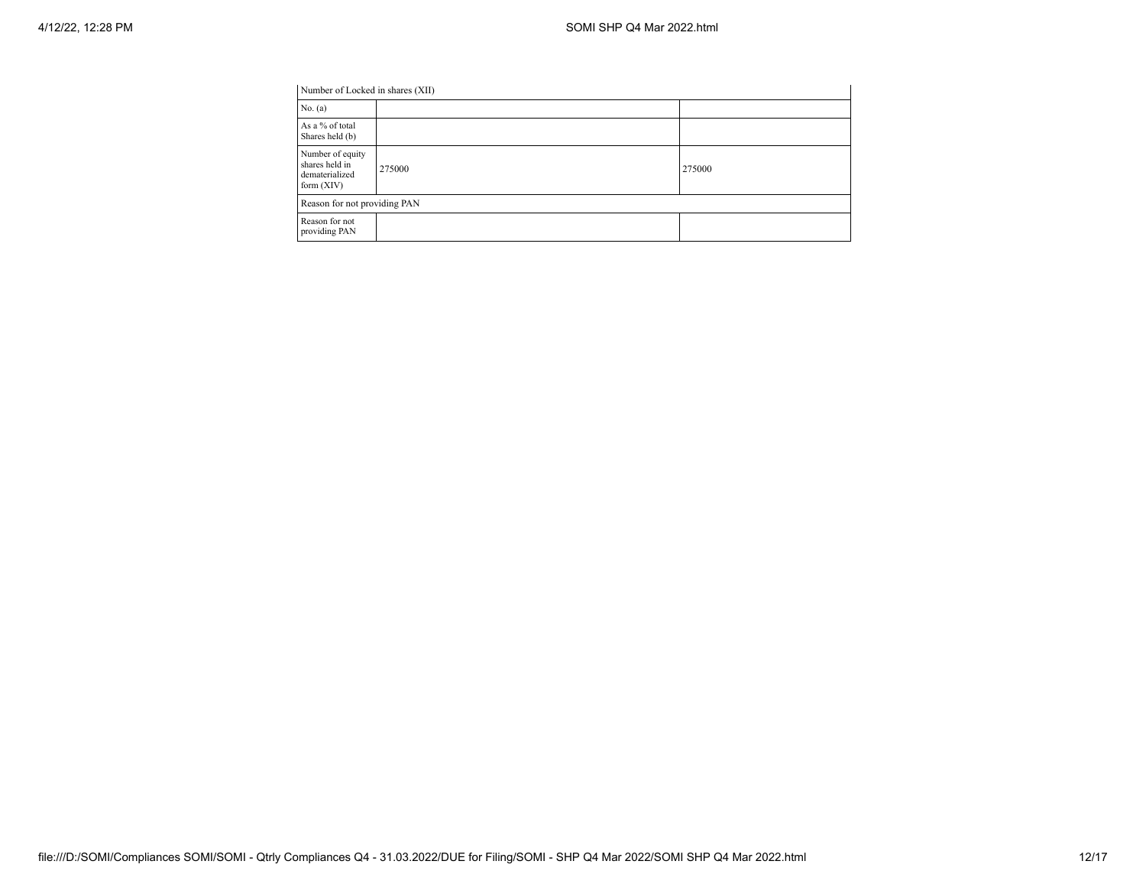| Number of Locked in shares (XII) |        |
|----------------------------------|--------|
|                                  |        |
|                                  |        |
| 275000                           | 275000 |
| Reason for not providing PAN     |        |
|                                  |        |
|                                  |        |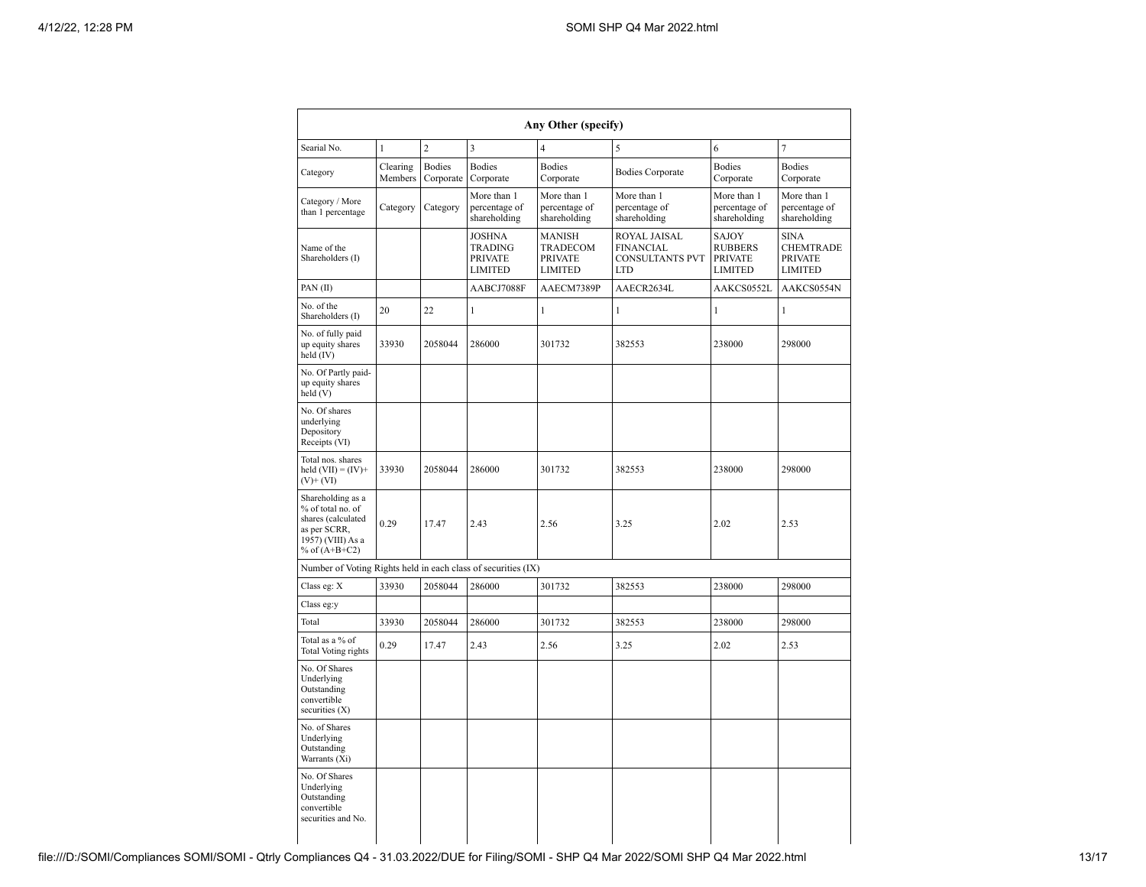| Any Other (specify)                                                                                                  |                     |                            |                                                                     |                                                                                                                                                                                                          |                                              |                                              |                                                                     |  |  |  |  |
|----------------------------------------------------------------------------------------------------------------------|---------------------|----------------------------|---------------------------------------------------------------------|----------------------------------------------------------------------------------------------------------------------------------------------------------------------------------------------------------|----------------------------------------------|----------------------------------------------|---------------------------------------------------------------------|--|--|--|--|
| $\overline{2}$<br>3<br>$\overline{4}$<br>$\overline{7}$<br>Searial No.<br>$\mathbf{1}$<br>5<br>6                     |                     |                            |                                                                     |                                                                                                                                                                                                          |                                              |                                              |                                                                     |  |  |  |  |
| Category                                                                                                             | Clearing<br>Members | <b>Bodies</b><br>Corporate | <b>Bodies</b><br>Corporate                                          | <b>Bodies</b><br><b>Bodies</b><br><b>Bodies Corporate</b><br>Corporate<br>Corporate                                                                                                                      |                                              | <b>Bodies</b><br>Corporate                   |                                                                     |  |  |  |  |
| Category / More<br>than 1 percentage                                                                                 | Category            | Category                   | More than 1<br>percentage of<br>shareholding                        | More than 1<br>percentage of<br>shareholding                                                                                                                                                             | More than 1<br>percentage of<br>shareholding | More than 1<br>percentage of<br>shareholding | More than 1<br>percentage of<br>shareholding                        |  |  |  |  |
| Name of the<br>Shareholders (I)                                                                                      |                     |                            | <b>JOSHNA</b><br><b>TRADING</b><br><b>PRIVATE</b><br><b>LIMITED</b> | ROYAL JAISAL<br><b>MANISH</b><br>SAJOY<br>TRADECOM<br><b>FINANCIAL</b><br><b>RUBBERS</b><br><b>CONSULTANTS PVT</b><br><b>PRIVATE</b><br><b>PRIVATE</b><br><b>LIMITED</b><br><b>LTD</b><br><b>LIMITED</b> |                                              |                                              | <b>SINA</b><br><b>CHEMTRADE</b><br><b>PRIVATE</b><br><b>LIMITED</b> |  |  |  |  |
| PAN(II)                                                                                                              |                     |                            | AABCJ7088F                                                          | AAECM7389P                                                                                                                                                                                               | AAECR2634L                                   | AAKCS0552L                                   | AAKCS0554N                                                          |  |  |  |  |
| No. of the<br>Shareholders (I)                                                                                       | 20                  | 22                         | 1                                                                   | 1                                                                                                                                                                                                        | 1                                            | 1                                            | 1                                                                   |  |  |  |  |
| No. of fully paid<br>up equity shares<br>held (IV)                                                                   | 33930               | 2058044                    | 286000                                                              | 301732                                                                                                                                                                                                   | 382553                                       | 238000                                       | 298000                                                              |  |  |  |  |
| No. Of Partly paid-<br>up equity shares<br>held $(V)$                                                                |                     |                            |                                                                     |                                                                                                                                                                                                          |                                              |                                              |                                                                     |  |  |  |  |
| No. Of shares<br>underlying<br>Depository<br>Receipts (VI)                                                           |                     |                            |                                                                     |                                                                                                                                                                                                          |                                              |                                              |                                                                     |  |  |  |  |
| Total nos. shares<br>held $(VII) = (IV) +$<br>$(V)+(VI)$                                                             | 33930               | 2058044                    | 286000                                                              | 301732                                                                                                                                                                                                   | 382553                                       | 238000                                       | 298000                                                              |  |  |  |  |
| Shareholding as a<br>% of total no. of<br>shares (calculated<br>as per SCRR,<br>1957) (VIII) As a<br>% of $(A+B+C2)$ | 0.29                | 17.47                      | 2.43                                                                | 2.56                                                                                                                                                                                                     | 3.25                                         | 2.02                                         |                                                                     |  |  |  |  |
| Number of Voting Rights held in each class of securities (IX)                                                        |                     |                            |                                                                     |                                                                                                                                                                                                          |                                              |                                              |                                                                     |  |  |  |  |
| Class eg: X                                                                                                          | 33930               | 2058044                    | 286000                                                              | 301732                                                                                                                                                                                                   | 382553                                       | 238000                                       | 298000                                                              |  |  |  |  |
| Class eg:y                                                                                                           |                     |                            |                                                                     |                                                                                                                                                                                                          |                                              |                                              |                                                                     |  |  |  |  |
| Total                                                                                                                | 33930               | 2058044                    | 286000                                                              | 301732                                                                                                                                                                                                   | 382553                                       | 238000                                       | 298000                                                              |  |  |  |  |
| Total as a % of<br><b>Total Voting rights</b>                                                                        | 0.29                | 17.47                      | 2.43                                                                | 2.56                                                                                                                                                                                                     | 3.25                                         | 2.02                                         | 2.53                                                                |  |  |  |  |
| No. Of Shares<br>Underlying<br>Outstanding<br>convertible<br>securities $(X)$                                        |                     |                            |                                                                     |                                                                                                                                                                                                          |                                              |                                              |                                                                     |  |  |  |  |
| No. of Shares<br>Underlying<br>Outstanding<br>Warrants (Xi)                                                          |                     |                            |                                                                     |                                                                                                                                                                                                          |                                              |                                              |                                                                     |  |  |  |  |
| No. Of Shares<br>Underlying<br>Outstanding<br>convertible<br>securities and No.                                      |                     |                            |                                                                     |                                                                                                                                                                                                          |                                              |                                              |                                                                     |  |  |  |  |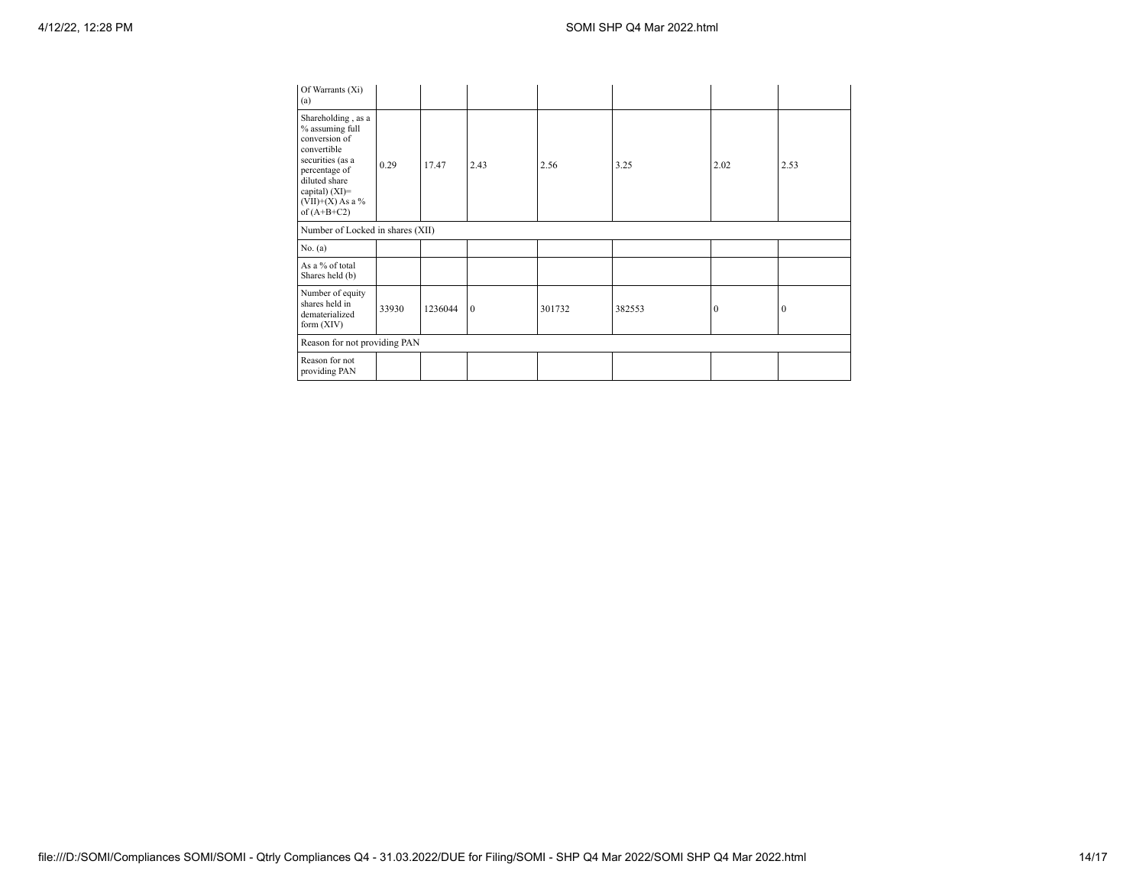| Of Warrants (Xi)<br>(a)                                                                                                                                                                |       |         |          |        |        |          |              |  |  |  |
|----------------------------------------------------------------------------------------------------------------------------------------------------------------------------------------|-------|---------|----------|--------|--------|----------|--------------|--|--|--|
| Shareholding, as a<br>% assuming full<br>conversion of<br>convertible<br>securities (as a<br>percentage of<br>diluted share<br>capital) $(XI)=$<br>$(VII)+(X)$ As a %<br>of $(A+B+C2)$ | 0.29  | 17.47   | 2.43     | 2.56   | 3.25   | 2.02     | 2.53         |  |  |  |
| Number of Locked in shares (XII)                                                                                                                                                       |       |         |          |        |        |          |              |  |  |  |
| No. (a)                                                                                                                                                                                |       |         |          |        |        |          |              |  |  |  |
| As a % of total<br>Shares held (b)                                                                                                                                                     |       |         |          |        |        |          |              |  |  |  |
| Number of equity<br>shares held in<br>dematerialized<br>form $(XIV)$                                                                                                                   | 33930 | 1236044 | $\theta$ | 301732 | 382553 | $\Omega$ | $\mathbf{0}$ |  |  |  |
| Reason for not providing PAN                                                                                                                                                           |       |         |          |        |        |          |              |  |  |  |
| Reason for not<br>providing PAN                                                                                                                                                        |       |         |          |        |        |          |              |  |  |  |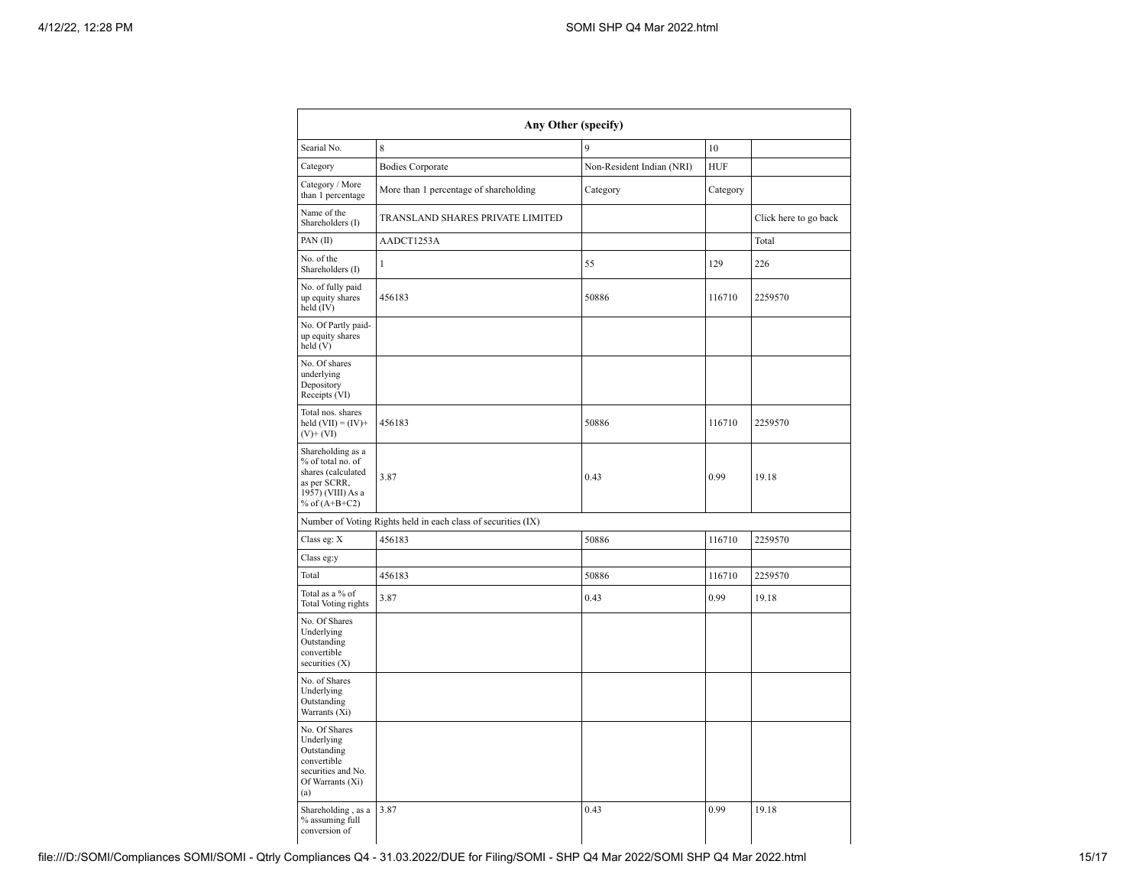| Any Other (specify)                                                                                                  |                                                               |                           |                       |         |  |  |  |  |  |  |  |
|----------------------------------------------------------------------------------------------------------------------|---------------------------------------------------------------|---------------------------|-----------------------|---------|--|--|--|--|--|--|--|
| Searial No.                                                                                                          | 8                                                             | 9                         | 10                    |         |  |  |  |  |  |  |  |
| Category                                                                                                             | <b>Bodies Corporate</b>                                       | Non-Resident Indian (NRI) | HUF                   |         |  |  |  |  |  |  |  |
| Category / More<br>than 1 percentage                                                                                 | More than 1 percentage of shareholding                        | Category                  | Category              |         |  |  |  |  |  |  |  |
| Name of the<br>Shareholders (I)                                                                                      | TRANSLAND SHARES PRIVATE LIMITED                              |                           | Click here to go back |         |  |  |  |  |  |  |  |
| PAN(II)                                                                                                              | AADCT1253A                                                    |                           |                       | Total   |  |  |  |  |  |  |  |
| No. of the<br>Shareholders (I)                                                                                       | 1                                                             | 55                        | 129                   | 226     |  |  |  |  |  |  |  |
| No. of fully paid<br>up equity shares<br>held (IV)                                                                   | 456183                                                        | 50886                     | 116710                | 2259570 |  |  |  |  |  |  |  |
| No. Of Partly paid-<br>up equity shares<br>held (V)                                                                  |                                                               |                           |                       |         |  |  |  |  |  |  |  |
| No. Of shares<br>underlying<br>Depository<br>Receipts (VI)                                                           |                                                               |                           |                       |         |  |  |  |  |  |  |  |
| Total nos. shares<br>held $(VII) = (IV) +$<br>$(V)$ + $(VI)$                                                         | 456183                                                        | 50886                     | 116710                | 2259570 |  |  |  |  |  |  |  |
| Shareholding as a<br>% of total no. of<br>shares (calculated<br>as per SCRR,<br>1957) (VIII) As a<br>% of $(A+B+C2)$ | 3.87                                                          | 0.43                      | 0.99                  | 19.18   |  |  |  |  |  |  |  |
|                                                                                                                      | Number of Voting Rights held in each class of securities (IX) |                           |                       |         |  |  |  |  |  |  |  |
| Class eg: X                                                                                                          | 456183                                                        | 50886                     | 116710                | 2259570 |  |  |  |  |  |  |  |
| Class eg:y                                                                                                           |                                                               |                           |                       |         |  |  |  |  |  |  |  |
| Total                                                                                                                | 456183                                                        | 50886                     | 116710                | 2259570 |  |  |  |  |  |  |  |
| Total as a % of<br><b>Total Voting rights</b>                                                                        | 3.87                                                          | 0.43                      | 0.99                  | 19.18   |  |  |  |  |  |  |  |
| No. Of Shares<br>Underlying<br>Outstanding<br>convertible<br>securities (X)                                          |                                                               |                           |                       |         |  |  |  |  |  |  |  |
| No. of Shares<br>Underlying<br>Outstanding<br>Warrants (Xi)                                                          |                                                               |                           |                       |         |  |  |  |  |  |  |  |
| No. Of Shares<br>Underlying<br>Outstanding<br>convertible<br>securities and No.<br>Of Warrants (Xi)<br>(a)           |                                                               |                           |                       |         |  |  |  |  |  |  |  |
| Shareholding, as a<br>% assuming full<br>conversion of                                                               | 3.87                                                          | 0.43                      | 0.99                  | 19.18   |  |  |  |  |  |  |  |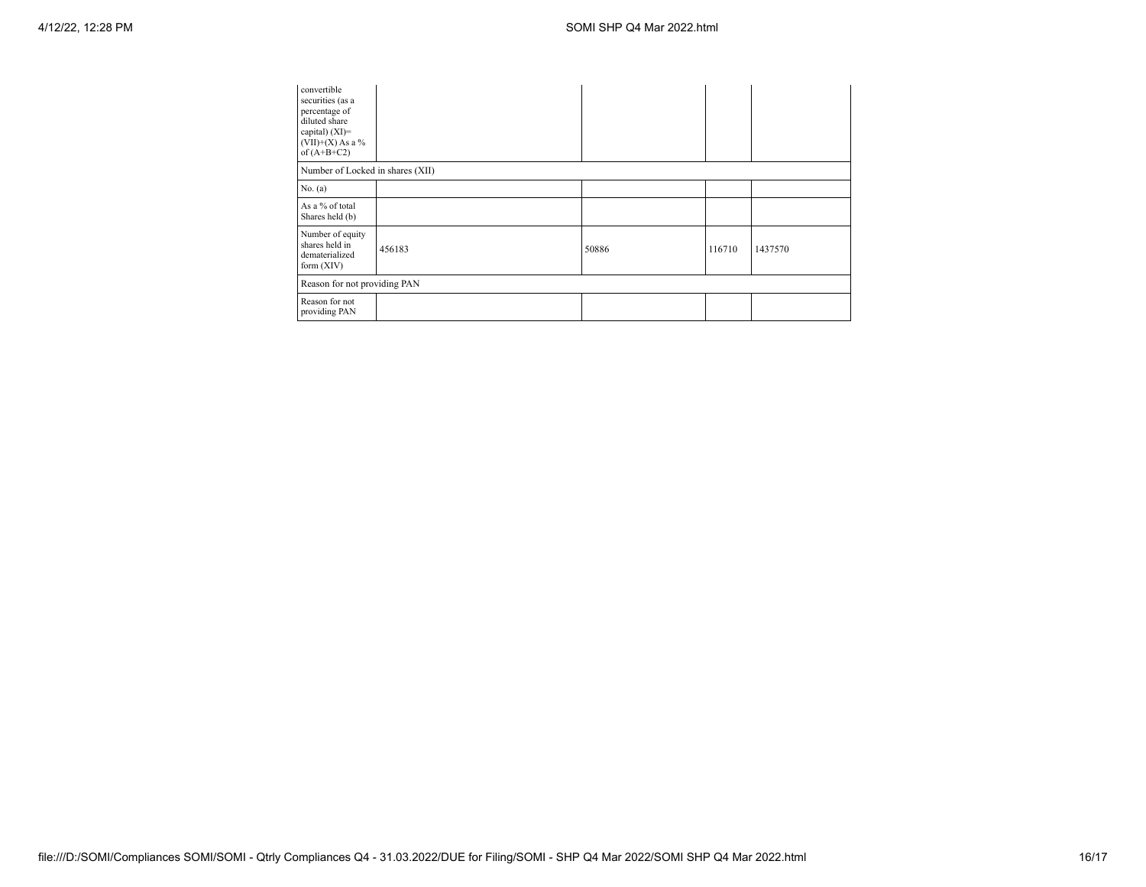| convertible<br>securities (as a<br>percentage of<br>diluted share<br>capital) $(XI)$ =<br>$(VII)+(X)$ As a %<br>of $(A+B+C2)$ |                                  |       |        |         |  |  |  |  |  |  |
|-------------------------------------------------------------------------------------------------------------------------------|----------------------------------|-------|--------|---------|--|--|--|--|--|--|
|                                                                                                                               | Number of Locked in shares (XII) |       |        |         |  |  |  |  |  |  |
| No. $(a)$                                                                                                                     |                                  |       |        |         |  |  |  |  |  |  |
| As a % of total<br>Shares held (b)                                                                                            |                                  |       |        |         |  |  |  |  |  |  |
| Number of equity<br>shares held in<br>dematerialized<br>form $(XIV)$                                                          | 456183                           | 50886 | 116710 | 1437570 |  |  |  |  |  |  |
| Reason for not providing PAN                                                                                                  |                                  |       |        |         |  |  |  |  |  |  |
| Reason for not<br>providing PAN                                                                                               |                                  |       |        |         |  |  |  |  |  |  |